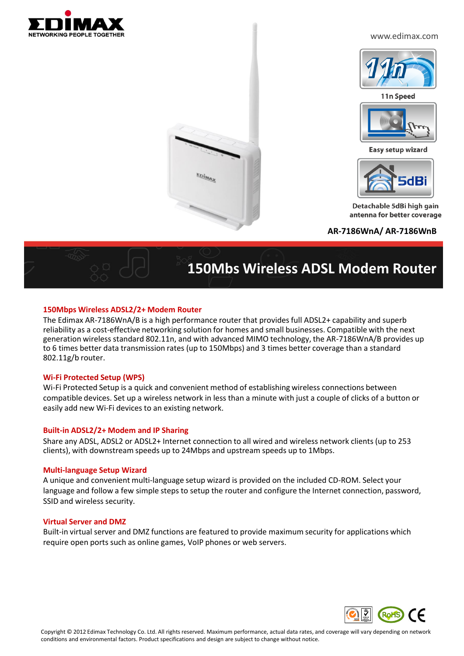

www.edimax.com



11n Speed



Easy setup wizard



Detachable 5dBi high gain antenna for better coverage

**AR-7186WnA/ AR-7186WnB**



# **150Mbs Wireless ADSL Modem Router**

## **150Mbps Wireless ADSL2/2+ Modem Router**

The Edimax AR-7186WnA/B is a high performance router that provides full ADSL2+ capability and superb reliability as a cost-effective networking solution for homes and small businesses. Compatible with the next generation wireless standard 802.11n, and with advanced MIMO technology, the AR-7186WnA/B provides up to 6 times better data transmission rates (up to 150Mbps) and 3 times better coverage than a standard 802.11g/b router.

EDIMAX

## **Wi-Fi Protected Setup (WPS)**

Wi-Fi Protected Setup is a quick and convenient method of establishing wireless connections between compatible devices. Set up a wireless network in less than a minute with just a couple of clicks of a button or easily add new Wi-Fi devices to an existing network.

## **Built-in ADSL2/2+ Modem and IP Sharing**

Share any ADSL, ADSL2 or ADSL2+ Internet connection to all wired and wireless network clients (up to 253 clients), with downstream speeds up to 24Mbps and upstream speeds up to 1Mbps.

#### **Multi-language Setup Wizard**

A unique and convenient multi-language setup wizard is provided on the included CD-ROM. Select your language and follow a few simple steps to setup the router and configure the Internet connection, password, SSID and wireless security.

#### **Virtual Server and DMZ**

Built-in virtual server and DMZ functions are featured to provide maximum security for applications which require open ports such as online games, VoIP phones or web servers.